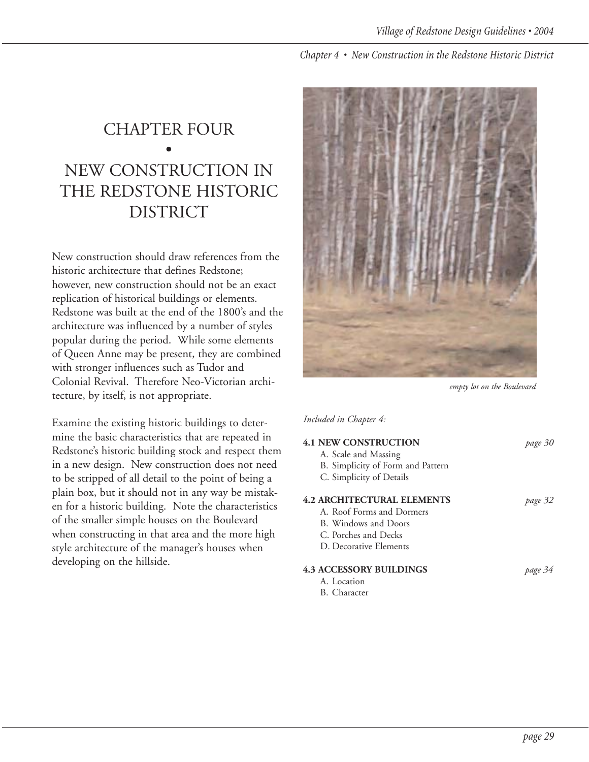## CHAPTER FOUR • NEW CONSTRUCTION IN THE REDSTONE HISTORIC DISTRICT

New construction should draw references from the historic architecture that defines Redstone; however, new construction should not be an exact replication of historical buildings or elements. Redstone was built at the end of the 1800's and the architecture was influenced by a number of styles popular during the period. While some elements of Queen Anne may be present, they are combined with stronger influences such as Tudor and Colonial Revival. Therefore Neo-Victorian architecture, by itself, is not appropriate.

Examine the existing historic buildings to determine the basic characteristics that are repeated in Redstone's historic building stock and respect them in a new design. New construction does not need to be stripped of all detail to the point of being a plain box, but it should not in any way be mistaken for a historic building. Note the characteristics of the smaller simple houses on the Boulevard when constructing in that area and the more high style architecture of the manager's houses when developing on the hillside.



*empty lot on the Boulevard*

*Included in Chapter 4:*

|  | <b>4.1 NEW CONSTRUCTION</b>       | page 30 |
|--|-----------------------------------|---------|
|  | A. Scale and Massing              |         |
|  | B. Simplicity of Form and Pattern |         |
|  | C. Simplicity of Details          |         |
|  | <b>4.2 ARCHITECTURAL ELEMENTS</b> | page 32 |
|  | A. Roof Forms and Dormers         |         |
|  | B. Windows and Doors              |         |
|  | C. Porches and Decks              |         |
|  | D. Decorative Elements            |         |
|  | <b>4.3 ACCESSORY BUILDINGS</b>    | page 34 |
|  | A. Location                       |         |

- B. Character
	-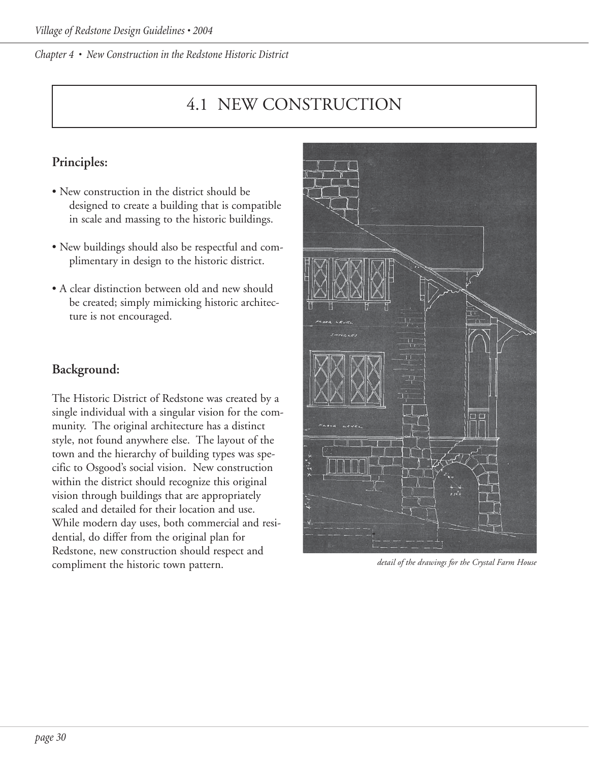## 4.1 NEW CONSTRUCTION

### **Principles:**

- New construction in the district should be designed to create a building that is compatible in scale and massing to the historic buildings.
- New buildings should also be respectful and complimentary in design to the historic district.
- A clear distinction between old and new should be created; simply mimicking historic architecture is not encouraged.

### **Background:**

The Historic District of Redstone was created by a single individual with a singular vision for the community. The original architecture has a distinct style, not found anywhere else. The layout of the town and the hierarchy of building types was specific to Osgood's social vision. New construction within the district should recognize this original vision through buildings that are appropriately scaled and detailed for their location and use. While modern day uses, both commercial and residential, do differ from the original plan for Redstone, new construction should respect and compliment the historic town pattern.



*detail of the drawings for the Crystal Farm House*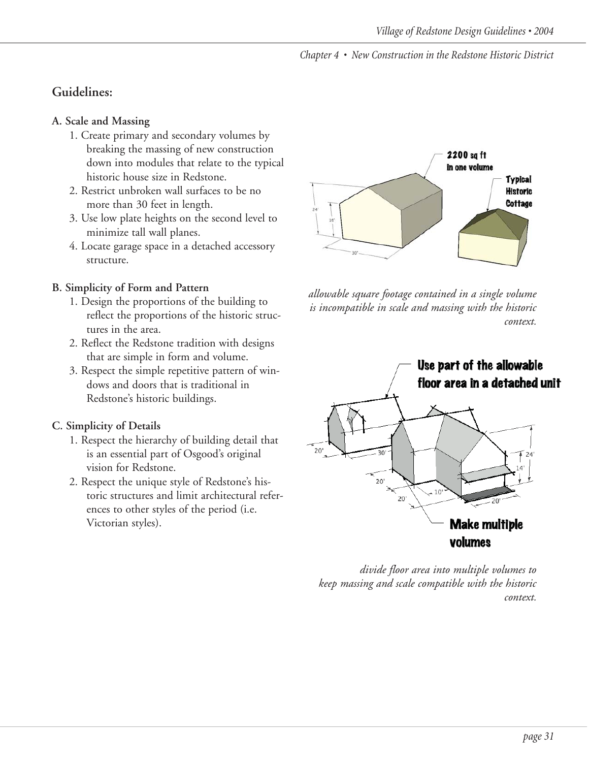### **Guidelines:**

### **A. Scale and Massing**

- 1. Create primary and secondary volumes by breaking the massing of new construction down into modules that relate to the typical historic house size in Redstone.
- 2. Restrict unbroken wall surfaces to be no more than 30 feet in length.
- 3. Use low plate heights on the second level to minimize tall wall planes.
- 4. Locate garage space in a detached accessory structure.

#### **B. Simplicity of Form and Pattern**

- 1. Design the proportions of the building to reflect the proportions of the historic structures in the area.
- 2. Reflect the Redstone tradition with designs that are simple in form and volume.
- 3. Respect the simple repetitive pattern of windows and doors that is traditional in Redstone's historic buildings.

### **C. Simplicity of Details**

- 1. Respect the hierarchy of building detail that is an essential part of Osgood's original vision for Redstone.
- 2. Respect the unique style of Redstone's historic structures and limit architectural references to other styles of the period (i.e. Victorian styles).



*allowable square footage contained in a single volume is incompatible in scale and massing with the historic context.*



*divide floor area into multiple volumes to keep massing and scale compatible with the historic context.*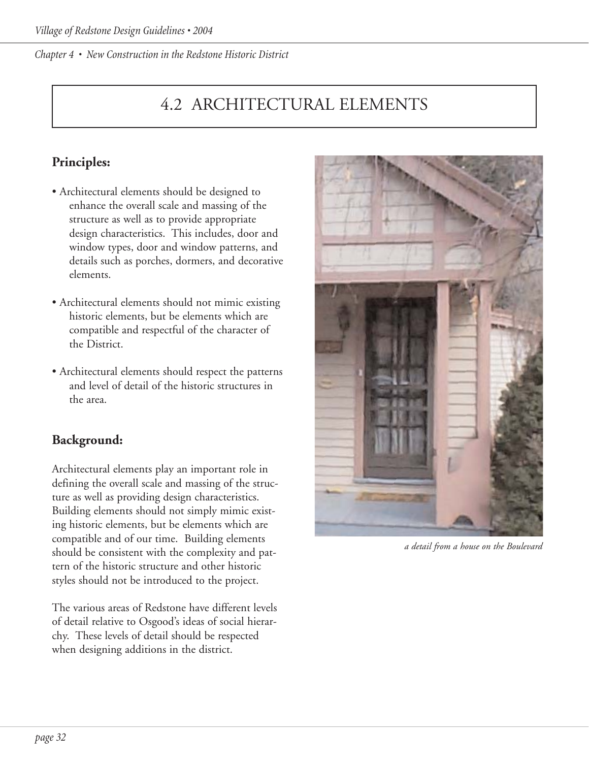# 4.2 ARCHITECTURAL ELEMENTS

## **Principles:**

- Architectural elements should be designed to enhance the overall scale and massing of the structure as well as to provide appropriate design characteristics. This includes, door and window types, door and window patterns, and details such as porches, dormers, and decorative elements.
- Architectural elements should not mimic existing historic elements, but be elements which are compatible and respectful of the character of the District.
- Architectural elements should respect the patterns and level of detail of the historic structures in the area.

### **Background:**

Architectural elements play an important role in defining the overall scale and massing of the structure as well as providing design characteristics. Building elements should not simply mimic existing historic elements, but be elements which are compatible and of our time. Building elements should be consistent with the complexity and pattern of the historic structure and other historic styles should not be introduced to the project.

The various areas of Redstone have different levels of detail relative to Osgood's ideas of social hierarchy. These levels of detail should be respected when designing additions in the district.



*a detail from a house on the Boulevard*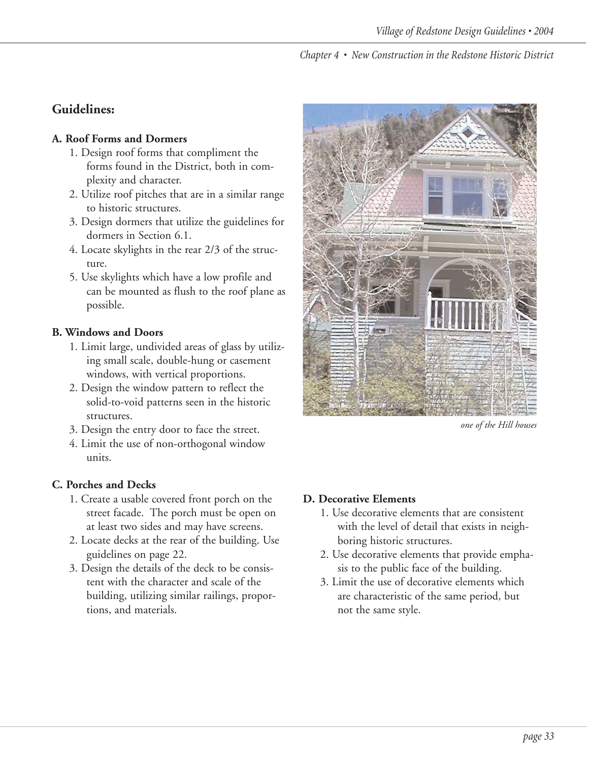### **Guidelines:**

#### **A. Roof Forms and Dormers**

- 1. Design roof forms that compliment the forms found in the District, both in complexity and character.
- 2. Utilize roof pitches that are in a similar range to historic structures.
- 3. Design dormers that utilize the guidelines for dormers in Section 6.1.
- 4. Locate skylights in the rear 2/3 of the structure.
- 5. Use skylights which have a low profile and can be mounted as flush to the roof plane as possible.

### **B. Windows and Doors**

- 1. Limit large, undivided areas of glass by utilizing small scale, double-hung or casement windows, with vertical proportions.
- 2. Design the window pattern to reflect the solid-to-void patterns seen in the historic structures.
- 3. Design the entry door to face the street.
- 4. Limit the use of non-orthogonal window units.

### **C. Porches and Decks**

- 1. Create a usable covered front porch on the street facade. The porch must be open on at least two sides and may have screens.
- 2. Locate decks at the rear of the building. Use guidelines on page 22.
- 3. Design the details of the deck to be consistent with the character and scale of the building, utilizing similar railings, proportions, and materials.



*one of the Hill houses*

### **D. Decorative Elements**

- 1. Use decorative elements that are consistent with the level of detail that exists in neighboring historic structures.
- 2. Use decorative elements that provide emphasis to the public face of the building.
- 3. Limit the use of decorative elements which are characteristic of the same period, but not the same style.